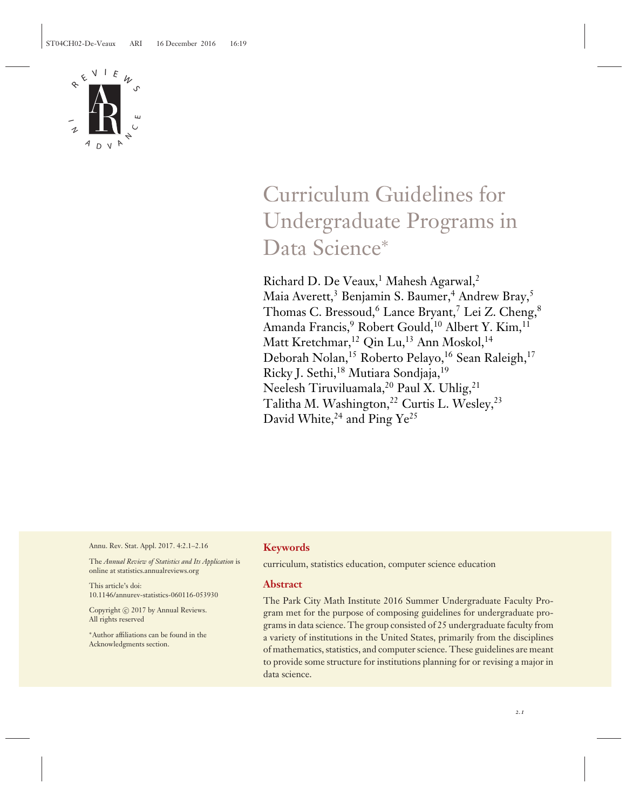

# Curriculum Guidelines for Undergraduate Programs in Data Science<sup>∗</sup>

Richard D. De Veaux,<sup>1</sup> Mahesh Agarwal,<sup>2</sup> Maia Averett,<sup>3</sup> Benjamin S. Baumer,<sup>4</sup> Andrew Bray,<sup>5</sup> Thomas C. Bressoud,<sup>6</sup> Lance Bryant,<sup>7</sup> Lei Z. Cheng,<sup>8</sup> Amanda Francis,<sup>9</sup> Robert Gould,<sup>10</sup> Albert Y. Kim,<sup>11</sup> Matt Kretchmar,<sup>12</sup> Oin Lu,<sup>13</sup> Ann Moskol,<sup>14</sup> Deborah Nolan,<sup>15</sup> Roberto Pelayo,<sup>16</sup> Sean Raleigh,<sup>17</sup> Ricky J. Sethi,<sup>18</sup> Mutiara Sondjaja,<sup>19</sup> Neelesh Tiruviluamala,<sup>20</sup> Paul X. Uhlig,<sup>21</sup> Talitha M. Washington,<sup>22</sup> Curtis L. Wesley,<sup>23</sup> David White, $24$  and Ping Ye<sup>25</sup>

Annu. Rev. Stat. Appl. 2017. 4:2.1–2.16

The *Annual Review of Statistics and Its Application* is online at statistics.annualreviews.org

This article's doi: 10.1146/annurev-statistics-060116-053930

Copyright © 2017 by Annual Reviews. All rights reserved

∗Author affiliations can be found in the Acknowledgments section.

## **Keywords**

curriculum, statistics education, computer science education

## **Abstract**

The Park City Math Institute 2016 Summer Undergraduate Faculty Program met for the purpose of composing guidelines for undergraduate programs in data science. The group consisted of 25 undergraduate faculty from a variety of institutions in the United States, primarily from the disciplines of mathematics, statistics, and computer science. These guidelines are meant to provide some structure for institutions planning for or revising a major in data science.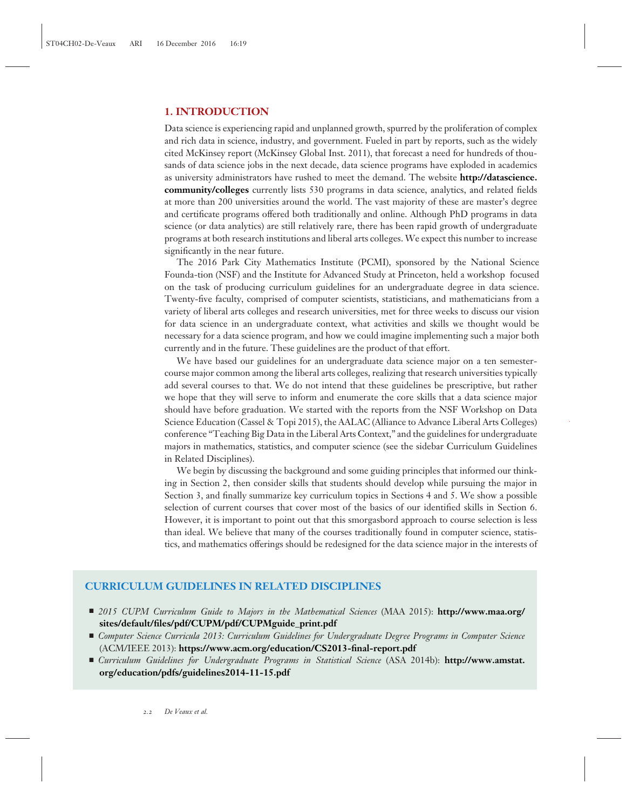# **1. INTRODUCTION**

Data science is experiencing rapid and unplanned growth, spurred by the proliferation of complex and rich data in science, industry, and government. Fueled in part by reports, such as the widely cited McKinsey report (McKinsey Global Inst. 2011), that forecast a need for hundreds of thousands of data science jobs in the next decade, data science programs have exploded in academics as university administrators have rushed to meet the demand. The website **http://datascience. community/colleges** currently lists 530 programs in data science, analytics, and related fields at more than 200 universities around the world. The vast majority of these are master's degree and certificate programs offered both traditionally and online. Although PhD programs in data science (or data analytics) are still relatively rare, there has been rapid growth of undergraduate programs at both research institutions and liberal arts colleges. We expect this number to increase significantly in the near future.

The 2016 Park City Mathematics Institute (PCMI), sponsored by the National Science Founda-tion (NSF) and the Institute for Advanced Study at Princeton, held a workshop focused on the task of producing curriculum guidelines for an undergraduate degree in data science. Twenty-five faculty, comprised of computer scientists, statisticians, and mathematicians from a variety of liberal arts colleges and research universities, met for three weeks to discuss our vision for data science in an undergraduate context, what activities and skills we thought would be necessary for a data science program, and how we could imagine implementing such a major both currently and in the future. These guidelines are the product of that effort.

We have based our guidelines for an undergraduate data science major on a ten semestercourse major common among the liberal arts colleges, realizing that research universities typically add several courses to that. We do not intend that these guidelines be prescriptive, but rather we hope that they will serve to inform and enumerate the core skills that a data science major should have before graduation. We started with the reports from the NSF Workshop on Data Science Education (Cassel & Topi 2015), the AALAC (Alliance to Advance Liberal Arts Colleges) conference "Teaching Big Data in the Liberal Arts Context," and the guidelines for undergraduate majors in mathematics, statistics, and computer science (see the sidebar Curriculum Guidelines in Related Disciplines).

We begin by discussing the background and some guiding principles that informed our thinking in Section 2, then consider skills that students should develop while pursuing the major in Section 3, and finally summarize key curriculum topics in Sections 4 and 5. We show a possible selection of current courses that cover most of the basics of our identified skills in Section 6. However, it is important to point out that this smorgasbord approach to course selection is less than ideal. We believe that many of the courses traditionally found in computer science, statistics, and mathematics offerings should be redesigned for the data science major in the interests of

## **CURRICULUM GUIDELINES IN RELATED DISCIPLINES**

- *2015 CUPM Curriculum Guide to Majors in the Mathematical Sciences* (MAA 2015): **http://www.maa.org/ sites/default/files/pdf/CUPM/pdf/CUPMguide\_print.pdf**
- *Computer Science Curricula 2013: Curriculum Guidelines for Undergraduate Degree Programs in Computer Science* (ACM/IEEE 2013): **https://www.acm.org/education/CS2013-final-report.pdf**
- *Curriculum Guidelines for Undergraduate Programs in Statistical Science* (ASA 2014b): **http://www.amstat. org/education/pdfs/guidelines2014-11-15.pdf**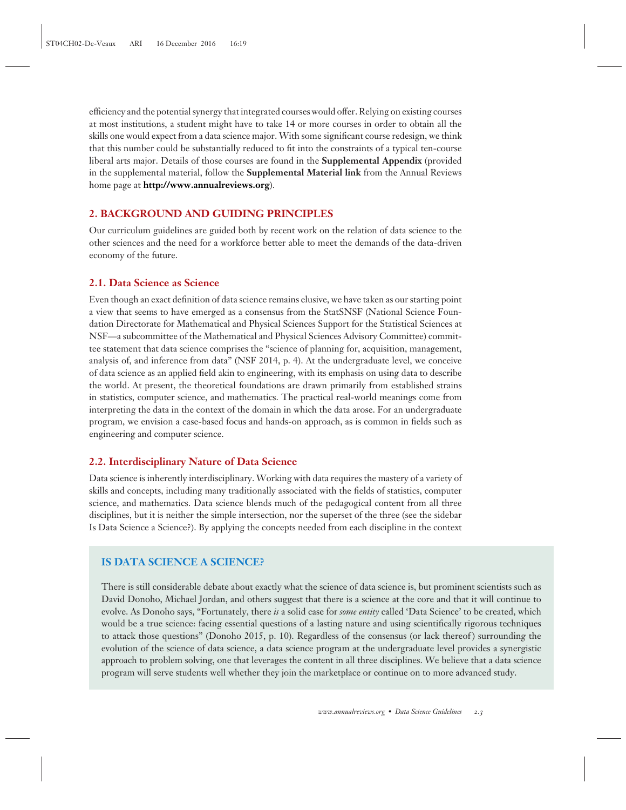efficiency and the potential synergy that integrated courses would offer. Relying on existing courses at most institutions, a student might have to take 14 or more courses in order to obtain all the skills one would expect from a data science major. With some significant course redesign, we think that this number could be substantially reduced to fit into the constraints of a typical ten-course liberal arts major. Details of those courses are found in the **Supplemental Appendix** (provided in the supplemental material, follow the **Supplemental Material link** from the Annual Reviews home page at **http://www.annualreviews.org**).

#### **2. BACKGROUND AND GUIDING PRINCIPLES**

Our curriculum guidelines are guided both by recent work on the relation of data science to the other sciences and the need for a workforce better able to meet the demands of the data-driven economy of the future.

#### **2.1. Data Science as Science**

Even though an exact definition of data science remains elusive, we have taken as our starting point a view that seems to have emerged as a consensus from the StatSNSF (National Science Foundation Directorate for Mathematical and Physical Sciences Support for the Statistical Sciences at NSF—a subcommittee of the Mathematical and Physical Sciences Advisory Committee) committee statement that data science comprises the "science of planning for, acquisition, management, analysis of, and inference from data" (NSF 2014, p. 4). At the undergraduate level, we conceive of data science as an applied field akin to engineering, with its emphasis on using data to describe the world. At present, the theoretical foundations are drawn primarily from established strains in statistics, computer science, and mathematics. The practical real-world meanings come from interpreting the data in the context of the domain in which the data arose. For an undergraduate program, we envision a case-based focus and hands-on approach, as is common in fields such as engineering and computer science.

#### **2.2. Interdisciplinary Nature of Data Science**

Data science is inherently interdisciplinary. Working with data requires the mastery of a variety of skills and concepts, including many traditionally associated with the fields of statistics, computer science, and mathematics. Data science blends much of the pedagogical content from all three disciplines, but it is neither the simple intersection, nor the superset of the three (see the sidebar Is Data Science a Science?). By applying the concepts needed from each discipline in the context

#### **IS DATA SCIENCE A SCIENCE?**

There is still considerable debate about exactly what the science of data science is, but prominent scientists such as David Donoho, Michael Jordan, and others suggest that there is a science at the core and that it will continue to evolve. As Donoho says, "Fortunately, there *is* a solid case for *some entity* called 'Data Science' to be created, which would be a true science: facing essential questions of a lasting nature and using scientifically rigorous techniques to attack those questions" (Donoho 2015, p. 10). Regardless of the consensus (or lack thereof) surrounding the evolution of the science of data science, a data science program at the undergraduate level provides a synergistic approach to problem solving, one that leverages the content in all three disciplines. We believe that a data science program will serve students well whether they join the marketplace or continue on to more advanced study.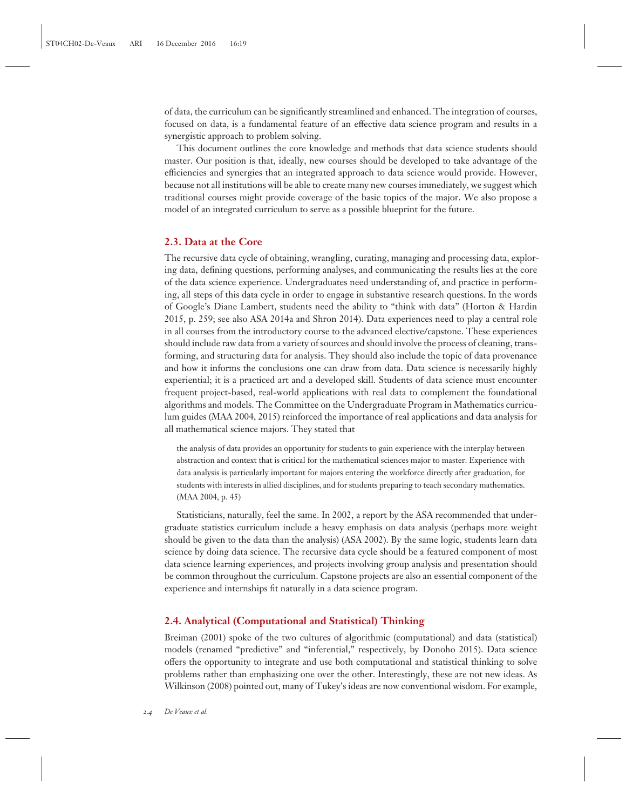of data, the curriculum can be significantly streamlined and enhanced. The integration of courses, focused on data, is a fundamental feature of an effective data science program and results in a synergistic approach to problem solving.

This document outlines the core knowledge and methods that data science students should master. Our position is that, ideally, new courses should be developed to take advantage of the efficiencies and synergies that an integrated approach to data science would provide. However, because not all institutions will be able to create many new courses immediately, we suggest which traditional courses might provide coverage of the basic topics of the major. We also propose a model of an integrated curriculum to serve as a possible blueprint for the future.

#### **2.3. Data at the Core**

The recursive data cycle of obtaining, wrangling, curating, managing and processing data, exploring data, defining questions, performing analyses, and communicating the results lies at the core of the data science experience. Undergraduates need understanding of, and practice in performing, all steps of this data cycle in order to engage in substantive research questions. In the words of Google's Diane Lambert, students need the ability to "think with data" (Horton & Hardin 2015, p. 259; see also ASA 2014a and Shron 2014). Data experiences need to play a central role in all courses from the introductory course to the advanced elective/capstone. These experiences should include raw data from a variety of sources and should involve the process of cleaning, transforming, and structuring data for analysis. They should also include the topic of data provenance and how it informs the conclusions one can draw from data. Data science is necessarily highly experiential; it is a practiced art and a developed skill. Students of data science must encounter frequent project-based, real-world applications with real data to complement the foundational algorithms and models. The Committee on the Undergraduate Program in Mathematics curriculum guides (MAA 2004, 2015) reinforced the importance of real applications and data analysis for all mathematical science majors. They stated that

the analysis of data provides an opportunity for students to gain experience with the interplay between abstraction and context that is critical for the mathematical sciences major to master. Experience with data analysis is particularly important for majors entering the workforce directly after graduation, for students with interests in allied disciplines, and for students preparing to teach secondary mathematics. (MAA 2004, p. 45)

Statisticians, naturally, feel the same. In 2002, a report by the ASA recommended that undergraduate statistics curriculum include a heavy emphasis on data analysis (perhaps more weight should be given to the data than the analysis) (ASA 2002). By the same logic, students learn data science by doing data science. The recursive data cycle should be a featured component of most data science learning experiences, and projects involving group analysis and presentation should be common throughout the curriculum. Capstone projects are also an essential component of the experience and internships fit naturally in a data science program.

#### **2.4. Analytical (Computational and Statistical) Thinking**

Breiman (2001) spoke of the two cultures of algorithmic (computational) and data (statistical) models (renamed "predictive" and "inferential," respectively, by Donoho 2015). Data science offers the opportunity to integrate and use both computational and statistical thinking to solve problems rather than emphasizing one over the other. Interestingly, these are not new ideas. As Wilkinson (2008) pointed out, many of Tukey's ideas are now conventional wisdom. For example,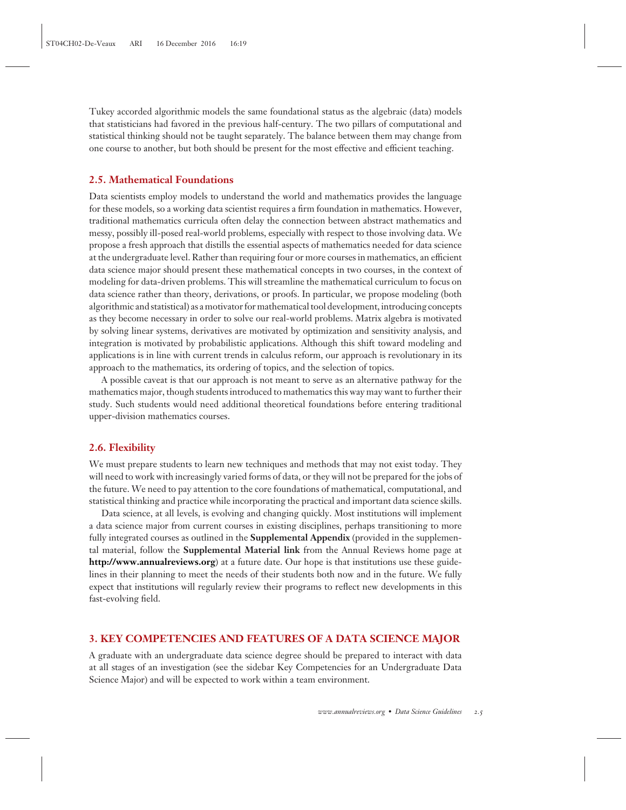Tukey accorded algorithmic models the same foundational status as the algebraic (data) models that statisticians had favored in the previous half-century. The two pillars of computational and statistical thinking should not be taught separately. The balance between them may change from one course to another, but both should be present for the most effective and efficient teaching.

#### **2.5. Mathematical Foundations**

Data scientists employ models to understand the world and mathematics provides the language for these models, so a working data scientist requires a firm foundation in mathematics. However, traditional mathematics curricula often delay the connection between abstract mathematics and messy, possibly ill-posed real-world problems, especially with respect to those involving data. We propose a fresh approach that distills the essential aspects of mathematics needed for data science at the undergraduate level. Rather than requiring four or more courses in mathematics, an efficient data science major should present these mathematical concepts in two courses, in the context of modeling for data-driven problems. This will streamline the mathematical curriculum to focus on data science rather than theory, derivations, or proofs. In particular, we propose modeling (both algorithmic and statistical) as a motivator for mathematical tool development, introducing concepts as they become necessary in order to solve our real-world problems. Matrix algebra is motivated by solving linear systems, derivatives are motivated by optimization and sensitivity analysis, and integration is motivated by probabilistic applications. Although this shift toward modeling and applications is in line with current trends in calculus reform, our approach is revolutionary in its approach to the mathematics, its ordering of topics, and the selection of topics.

A possible caveat is that our approach is not meant to serve as an alternative pathway for the mathematics major, though students introduced to mathematics this way may want to further their study. Such students would need additional theoretical foundations before entering traditional upper-division mathematics courses.

#### **2.6. Flexibility**

We must prepare students to learn new techniques and methods that may not exist today. They will need to work with increasingly varied forms of data, or they will not be prepared for the jobs of the future. We need to pay attention to the core foundations of mathematical, computational, and statistical thinking and practice while incorporating the practical and important data science skills.

Data science, at all levels, is evolving and changing quickly. Most institutions will implement a data science major from current courses in existing disciplines, perhaps transitioning to more fully integrated courses as outlined in the **Supplemental Appendix** (provided in the supplemental material, follow the **Supplemental Material link** from the Annual Reviews home page at **http://www.annualreviews.org**) at a future date. Our hope is that institutions use these guidelines in their planning to meet the needs of their students both now and in the future. We fully expect that institutions will regularly review their programs to reflect new developments in this fast-evolving field.

## **3. KEY COMPETENCIES AND FEATURES OF A DATA SCIENCE MAJOR**

A graduate with an undergraduate data science degree should be prepared to interact with data at all stages of an investigation (see the sidebar Key Competencies for an Undergraduate Data Science Major) and will be expected to work within a team environment.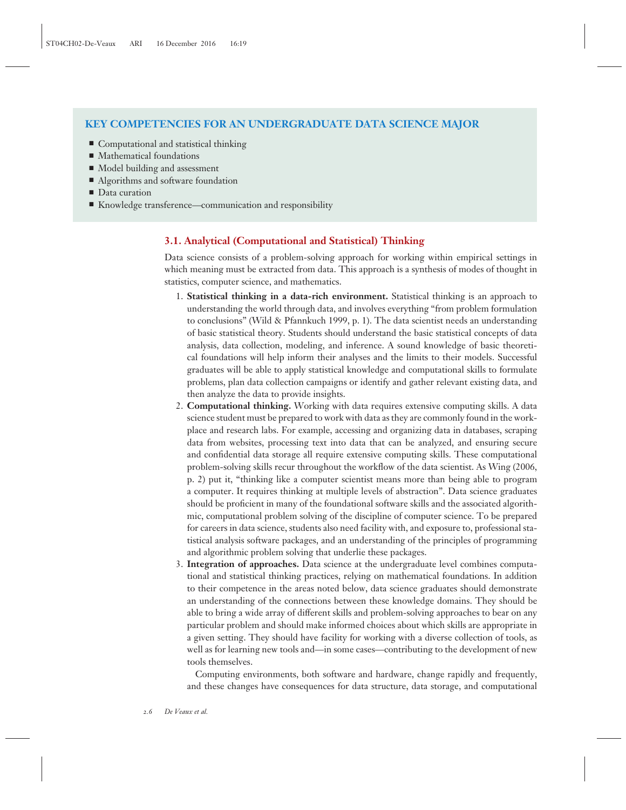# **KEY COMPETENCIES FOR AN UNDERGRADUATE DATA SCIENCE MAJOR**

- Computational and statistical thinking
- Mathematical foundations
- $\blacksquare$  Model building and assessment
- $\blacksquare$  Algorithms and software foundation
- Data curation
- $\blacksquare$  Knowledge transference—communication and responsibility

## **3.1. Analytical (Computational and Statistical) Thinking**

Data science consists of a problem-solving approach for working within empirical settings in which meaning must be extracted from data. This approach is a synthesis of modes of thought in statistics, computer science, and mathematics.

- 1. **Statistical thinking in a data-rich environment.** Statistical thinking is an approach to understanding the world through data, and involves everything "from problem formulation to conclusions" (Wild & Pfannkuch 1999, p. 1). The data scientist needs an understanding of basic statistical theory. Students should understand the basic statistical concepts of data analysis, data collection, modeling, and inference. A sound knowledge of basic theoretical foundations will help inform their analyses and the limits to their models. Successful graduates will be able to apply statistical knowledge and computational skills to formulate problems, plan data collection campaigns or identify and gather relevant existing data, and then analyze the data to provide insights.
- 2. **Computational thinking.** Working with data requires extensive computing skills. A data science student must be prepared to work with data as they are commonly found in the workplace and research labs. For example, accessing and organizing data in databases, scraping data from websites, processing text into data that can be analyzed, and ensuring secure and confidential data storage all require extensive computing skills. These computational problem-solving skills recur throughout the workflow of the data scientist. As Wing (2006, p. 2) put it, "thinking like a computer scientist means more than being able to program a computer. It requires thinking at multiple levels of abstraction". Data science graduates should be proficient in many of the foundational software skills and the associated algorithmic, computational problem solving of the discipline of computer science. To be prepared for careers in data science, students also need facility with, and exposure to, professional statistical analysis software packages, and an understanding of the principles of programming and algorithmic problem solving that underlie these packages.
- 3. **Integration of approaches.** Data science at the undergraduate level combines computational and statistical thinking practices, relying on mathematical foundations. In addition to their competence in the areas noted below, data science graduates should demonstrate an understanding of the connections between these knowledge domains. They should be able to bring a wide array of different skills and problem-solving approaches to bear on any particular problem and should make informed choices about which skills are appropriate in a given setting. They should have facility for working with a diverse collection of tools, as well as for learning new tools and—in some cases—contributing to the development of new tools themselves.

Computing environments, both software and hardware, change rapidly and frequently, and these changes have consequences for data structure, data storage, and computational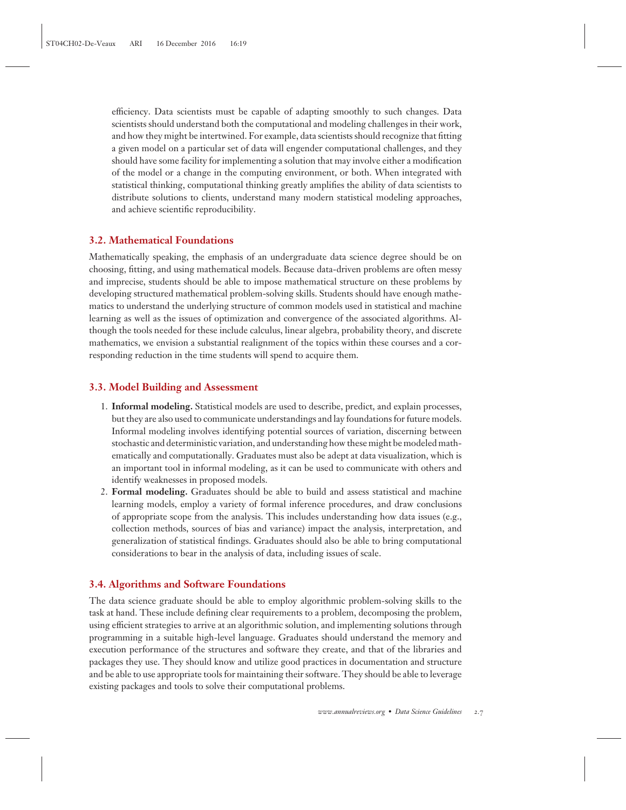efficiency. Data scientists must be capable of adapting smoothly to such changes. Data scientists should understand both the computational and modeling challenges in their work, and how they might be intertwined. For example, data scientists should recognize that fitting a given model on a particular set of data will engender computational challenges, and they should have some facility for implementing a solution that may involve either a modification of the model or a change in the computing environment, or both. When integrated with statistical thinking, computational thinking greatly amplifies the ability of data scientists to distribute solutions to clients, understand many modern statistical modeling approaches, and achieve scientific reproducibility.

## **3.2. Mathematical Foundations**

Mathematically speaking, the emphasis of an undergraduate data science degree should be on choosing, fitting, and using mathematical models. Because data-driven problems are often messy and imprecise, students should be able to impose mathematical structure on these problems by developing structured mathematical problem-solving skills. Students should have enough mathematics to understand the underlying structure of common models used in statistical and machine learning as well as the issues of optimization and convergence of the associated algorithms. Although the tools needed for these include calculus, linear algebra, probability theory, and discrete mathematics, we envision a substantial realignment of the topics within these courses and a corresponding reduction in the time students will spend to acquire them.

## **3.3. Model Building and Assessment**

- 1. **Informal modeling.** Statistical models are used to describe, predict, and explain processes, but they are also used to communicate understandings and lay foundations for future models. Informal modeling involves identifying potential sources of variation, discerning between stochastic and deterministic variation, and understanding how these might be modeled mathematically and computationally. Graduates must also be adept at data visualization, which is an important tool in informal modeling, as it can be used to communicate with others and identify weaknesses in proposed models.
- 2. **Formal modeling.** Graduates should be able to build and assess statistical and machine learning models, employ a variety of formal inference procedures, and draw conclusions of appropriate scope from the analysis. This includes understanding how data issues (e.g., collection methods, sources of bias and variance) impact the analysis, interpretation, and generalization of statistical findings. Graduates should also be able to bring computational considerations to bear in the analysis of data, including issues of scale.

## **3.4. Algorithms and Software Foundations**

The data science graduate should be able to employ algorithmic problem-solving skills to the task at hand. These include defining clear requirements to a problem, decomposing the problem, using efficient strategies to arrive at an algorithmic solution, and implementing solutions through programming in a suitable high-level language. Graduates should understand the memory and execution performance of the structures and software they create, and that of the libraries and packages they use. They should know and utilize good practices in documentation and structure and be able to use appropriate tools for maintaining their software. They should be able to leverage existing packages and tools to solve their computational problems.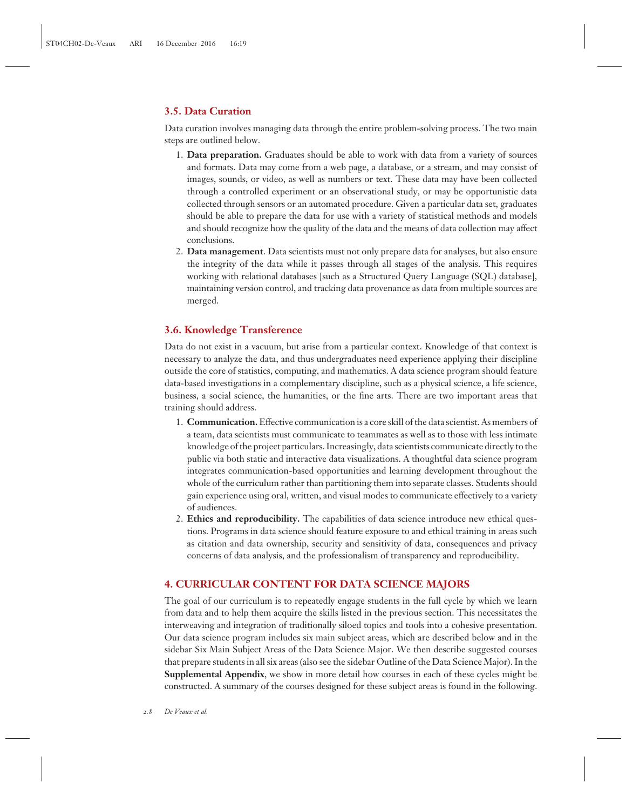## **3.5. Data Curation**

Data curation involves managing data through the entire problem-solving process. The two main steps are outlined below.

- 1. **Data preparation.** Graduates should be able to work with data from a variety of sources and formats. Data may come from a web page, a database, or a stream, and may consist of images, sounds, or video, as well as numbers or text. These data may have been collected through a controlled experiment or an observational study, or may be opportunistic data collected through sensors or an automated procedure. Given a particular data set, graduates should be able to prepare the data for use with a variety of statistical methods and models and should recognize how the quality of the data and the means of data collection may affect conclusions.
- 2. **Data management**. Data scientists must not only prepare data for analyses, but also ensure the integrity of the data while it passes through all stages of the analysis. This requires working with relational databases [such as a Structured Query Language (SQL) database], maintaining version control, and tracking data provenance as data from multiple sources are merged.

# **3.6. Knowledge Transference**

Data do not exist in a vacuum, but arise from a particular context. Knowledge of that context is necessary to analyze the data, and thus undergraduates need experience applying their discipline outside the core of statistics, computing, and mathematics. A data science program should feature data-based investigations in a complementary discipline, such as a physical science, a life science, business, a social science, the humanities, or the fine arts. There are two important areas that training should address.

- 1. **Communication.**Effective communication is a core skill of the data scientist. As members of a team, data scientists must communicate to teammates as well as to those with less intimate knowledge of the project particulars. Increasingly, data scientists communicate directly to the public via both static and interactive data visualizations. A thoughtful data science program integrates communication-based opportunities and learning development throughout the whole of the curriculum rather than partitioning them into separate classes. Students should gain experience using oral, written, and visual modes to communicate effectively to a variety of audiences.
- 2. **Ethics and reproducibility.** The capabilities of data science introduce new ethical questions. Programs in data science should feature exposure to and ethical training in areas such as citation and data ownership, security and sensitivity of data, consequences and privacy concerns of data analysis, and the professionalism of transparency and reproducibility.

# **4. CURRICULAR CONTENT FOR DATA SCIENCE MAJORS**

The goal of our curriculum is to repeatedly engage students in the full cycle by which we learn from data and to help them acquire the skills listed in the previous section. This necessitates the interweaving and integration of traditionally siloed topics and tools into a cohesive presentation. Our data science program includes six main subject areas, which are described below and in the sidebar Six Main Subject Areas of the Data Science Major. We then describe suggested courses that prepare students in all six areas (also see the sidebar Outline of the Data Science Major). In the **Supplemental Appendix**, we show in more detail how courses in each of these cycles might be constructed. A summary of the courses designed for these subject areas is found in the following.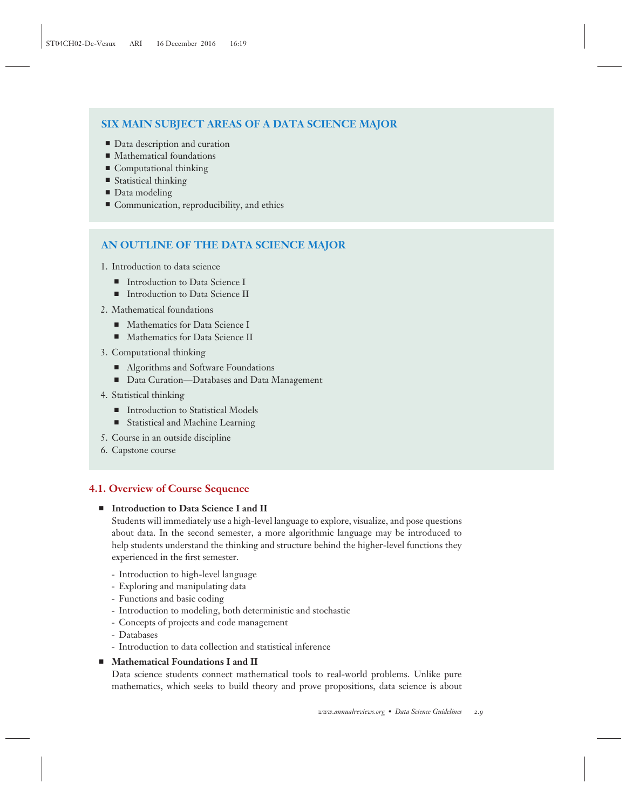# **SIX MAIN SUBJECT AREAS OF A DATA SCIENCE MAJOR**

- Data description and curation
- Mathematical foundations
- $\blacksquare$  Computational thinking
- $\blacksquare$  Statistical thinking
- $\blacksquare$  Data modeling
- $\blacksquare$  Communication, reproducibility, and ethics

# **AN OUTLINE OF THE DATA SCIENCE MAJOR**

- 1. Introduction to data science
	- Introduction to Data Science I
	- Introduction to Data Science II
- 2. Mathematical foundations
	- Mathematics for Data Science I
	- Mathematics for Data Science II
- 3. Computational thinking
	- Algorithms and Software Foundations
	- $\quad \blacksquare$  Data Curation—Databases and Data Management
- 4. Statistical thinking
	- Introduction to Statistical Models
	- **E** Statistical and Machine Learning
- 5. Course in an outside discipline
- 6. Capstone course

# **4.1. Overview of Course Sequence**

# - **Introduction to Data Science I and II**

Students will immediately use a high-level language to explore, visualize, and pose questions about data. In the second semester, a more algorithmic language may be introduced to help students understand the thinking and structure behind the higher-level functions they experienced in the first semester.

- Introduction to high-level language
- Exploring and manipulating data
- Functions and basic coding
- Introduction to modeling, both deterministic and stochastic
- Concepts of projects and code management
- Databases
- Introduction to data collection and statistical inference

## - **Mathematical Foundations I and II**

Data science students connect mathematical tools to real-world problems. Unlike pure mathematics, which seeks to build theory and prove propositions, data science is about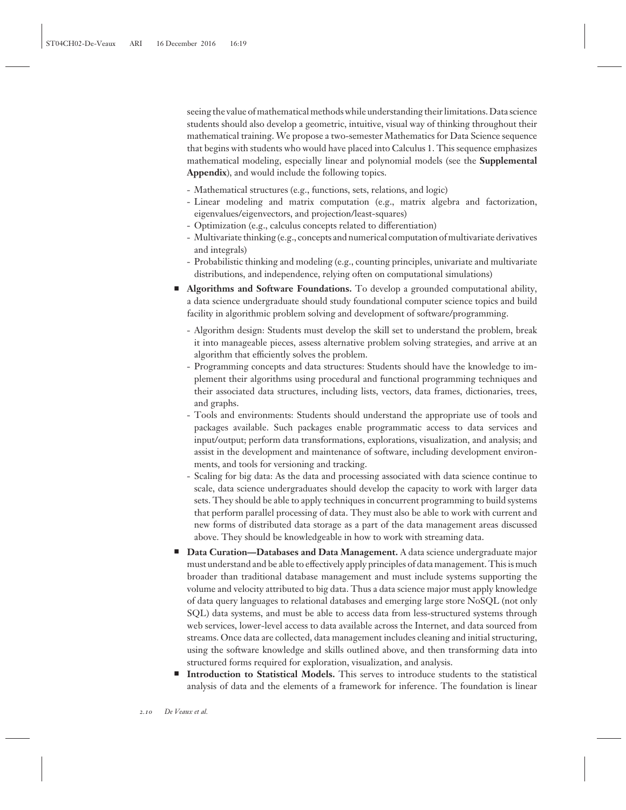seeing the value of mathematical methods while understanding their limitations. Data science students should also develop a geometric, intuitive, visual way of thinking throughout their mathematical training. We propose a two-semester Mathematics for Data Science sequence that begins with students who would have placed into Calculus 1. This sequence emphasizes mathematical modeling, especially linear and polynomial models (see the **Supplemental Appendix**), and would include the following topics.

- Mathematical structures (e.g., functions, sets, relations, and logic)
- Linear modeling and matrix computation (e.g., matrix algebra and factorization, eigenvalues/eigenvectors, and projection/least-squares)
- Optimization (e.g., calculus concepts related to differentiation)
- Multivariate thinking (e.g., concepts and numerical computation of multivariate derivatives and integrals)
- Probabilistic thinking and modeling (e.g., counting principles, univariate and multivariate distributions, and independence, relying often on computational simulations)
- **EXEDENT Algorithms and Software Foundations.** To develop a grounded computational ability, a data science undergraduate should study foundational computer science topics and build facility in algorithmic problem solving and development of software/programming.
	- Algorithm design: Students must develop the skill set to understand the problem, break it into manageable pieces, assess alternative problem solving strategies, and arrive at an algorithm that efficiently solves the problem.
	- Programming concepts and data structures: Students should have the knowledge to implement their algorithms using procedural and functional programming techniques and their associated data structures, including lists, vectors, data frames, dictionaries, trees, and graphs.
	- Tools and environments: Students should understand the appropriate use of tools and packages available. Such packages enable programmatic access to data services and input/output; perform data transformations, explorations, visualization, and analysis; and assist in the development and maintenance of software, including development environments, and tools for versioning and tracking.
	- Scaling for big data: As the data and processing associated with data science continue to scale, data science undergraduates should develop the capacity to work with larger data sets. They should be able to apply techniques in concurrent programming to build systems that perform parallel processing of data. They must also be able to work with current and new forms of distributed data storage as a part of the data management areas discussed above. They should be knowledgeable in how to work with streaming data.
- **Data Curation—Databases and Data Management.** A data science undergraduate major must understand and be able to effectively apply principles of data management. This is much broader than traditional database management and must include systems supporting the volume and velocity attributed to big data. Thus a data science major must apply knowledge of data query languages to relational databases and emerging large store NoSQL (not only SQL) data systems, and must be able to access data from less-structured systems through web services, lower-level access to data available across the Internet, and data sourced from streams. Once data are collected, data management includes cleaning and initial structuring, using the software knowledge and skills outlined above, and then transforming data into structured forms required for exploration, visualization, and analysis.
- **Introduction to Statistical Models.** This serves to introduce students to the statistical analysis of data and the elements of a framework for inference. The foundation is linear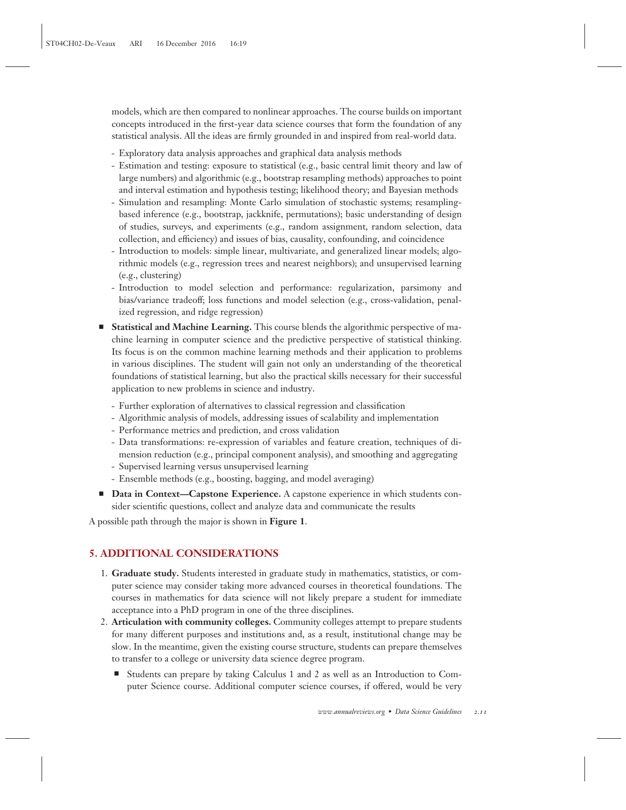models, which are then compared to nonlinear approaches. The course builds on important concepts introduced in the first-year data science courses that form the foundation of any statistical analysis. All the ideas are firmly grounded in and inspired from real-world data.

- Exploratory data analysis approaches and graphical data analysis methods
- Estimation and testing: exposure to statistical (e.g., basic central limit theory and law of large numbers) and algorithmic (e.g., bootstrap resampling methods) approaches to point and interval estimation and hypothesis testing; likelihood theory; and Bayesian methods
- Simulation and resampling: Monte Carlo simulation of stochastic systems; resamplingbased inference (e.g., bootstrap, jackknife, permutations); basic understanding of design of studies, surveys, and experiments (e.g., random assignment, random selection, data collection, and efficiency) and issues of bias, causality, confounding, and coincidence
- Introduction to models: simple linear, multivariate, and generalized linear models; algorithmic models (e.g., regression trees and nearest neighbors); and unsupervised learning (e.g., clustering)
- Introduction to model selection and performance: regularization, parsimony and bias/variance tradeoff; loss functions and model selection (e.g., cross-validation, penalized regression, and ridge regression)
- **Statistical and Machine Learning.** This course blends the algorithmic perspective of machine learning in computer science and the predictive perspective of statistical thinking. Its focus is on the common machine learning methods and their application to problems in various disciplines. The student will gain not only an understanding of the theoretical foundations of statistical learning, but also the practical skills necessary for their successful application to new problems in science and industry.
	- Further exploration of alternatives to classical regression and classification
	- Algorithmic analysis of models, addressing issues of scalability and implementation
	- Performance metrics and prediction, and cross validation
	- Data transformations: re-expression of variables and feature creation, techniques of dimension reduction (e.g., principal component analysis), and smoothing and aggregating
	- Supervised learning versus unsupervised learning
	- Ensemble methods (e.g., boosting, bagging, and model averaging)
- **Data in Context—Capstone Experience.** A capstone experience in which students consider scientific questions, collect and analyze data and communicate the results

A possible path through the major is shown in **Figure 1**.

# **5. ADDITIONAL CONSIDERATIONS**

- 1. **Graduate study.** Students interested in graduate study in mathematics, statistics, or computer science may consider taking more advanced courses in theoretical foundations. The courses in mathematics for data science will not likely prepare a student for immediate acceptance into a PhD program in one of the three disciplines.
- 2. **Articulation with community colleges.** Community colleges attempt to prepare students for many different purposes and institutions and, as a result, institutional change may be slow. In the meantime, given the existing course structure, students can prepare themselves to transfer to a college or university data science degree program.
	- Students can prepare by taking Calculus 1 and 2 as well as an Introduction to Computer Science course. Additional computer science courses, if offered, would be very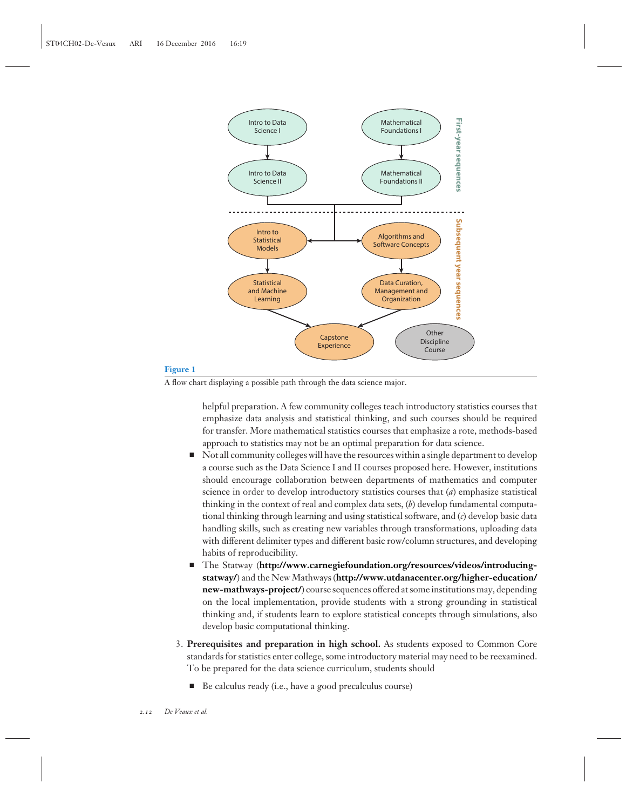

#### **Figure 1**

A flow chart displaying a possible path through the data science major.

helpful preparation. A few community colleges teach introductory statistics courses that emphasize data analysis and statistical thinking, and such courses should be required for transfer. More mathematical statistics courses that emphasize a rote, methods-based approach to statistics may not be an optimal preparation for data science.

- $\blacksquare$  Not all community colleges will have the resources within a single department to develop a course such as the Data Science I and II courses proposed here. However, institutions should encourage collaboration between departments of mathematics and computer science in order to develop introductory statistics courses that (*a*) emphasize statistical thinking in the context of real and complex data sets, (*b*) develop fundamental computational thinking through learning and using statistical software, and (*c*) develop basic data handling skills, such as creating new variables through transformations, uploading data with different delimiter types and different basic row/column structures, and developing habits of reproducibility.
- The Statway (**http://www.carnegiefoundation.org/resources/videos/introducingstatway/**) and the New Mathways (**http://www.utdanacenter.org/higher-education/ new-mathways-project/**) course sequences offered at some institutions may, depending on the local implementation, provide students with a strong grounding in statistical thinking and, if students learn to explore statistical concepts through simulations, also develop basic computational thinking.
- 3. **Prerequisites and preparation in high school.** As students exposed to Common Core standards for statistics enter college, some introductory material may need to be reexamined. To be prepared for the data science curriculum, students should
	- Be calculus ready (i.e., have a good precalculus course)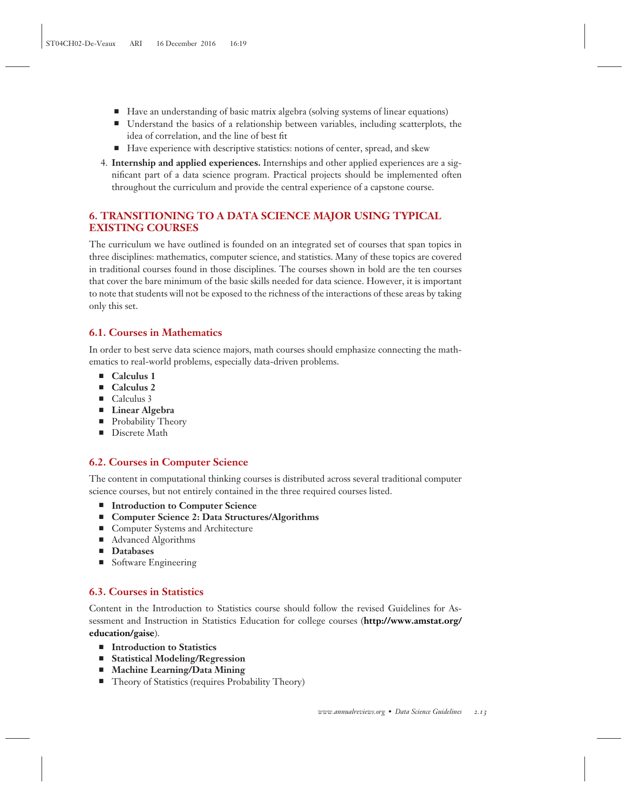- Have an understanding of basic matrix algebra (solving systems of linear equations)
- Understand the basics of a relationship between variables, including scatterplots, the idea of correlation, and the line of best fit
- Have experience with descriptive statistics: notions of center, spread, and skew
- 4. **Internship and applied experiences.** Internships and other applied experiences are a significant part of a data science program. Practical projects should be implemented often throughout the curriculum and provide the central experience of a capstone course.

# **6. TRANSITIONING TO A DATA SCIENCE MAJOR USING TYPICAL EXISTING COURSES**

The curriculum we have outlined is founded on an integrated set of courses that span topics in three disciplines: mathematics, computer science, and statistics. Many of these topics are covered in traditional courses found in those disciplines. The courses shown in bold are the ten courses that cover the bare minimum of the basic skills needed for data science. However, it is important to note that students will not be exposed to the richness of the interactions of these areas by taking only this set.

# **6.1. Courses in Mathematics**

In order to best serve data science majors, math courses should emphasize connecting the mathematics to real-world problems, especially data-driven problems.

- Calculus 1
- Calculus 2
- Calculus 3
- **Linear Algebra**
- Probability Theory
- Discrete Math

# **6.2. Courses in Computer Science**

The content in computational thinking courses is distributed across several traditional computer science courses, but not entirely contained in the three required courses listed.

- Introduction to Computer Science
- Computer Science 2: Data Structures/Algorithms
- Computer Systems and Architecture
- Advanced Algorithms
- **Databases**
- Software Engineering

# **6.3. Courses in Statistics**

Content in the Introduction to Statistics course should follow the revised Guidelines for Assessment and Instruction in Statistics Education for college courses (**http://www.amstat.org/ education/gaise**).

- Introduction to Statistics
- **Statistical Modeling/Regression**
- **Machine Learning/Data Mining**
- Theory of Statistics (requires Probability Theory)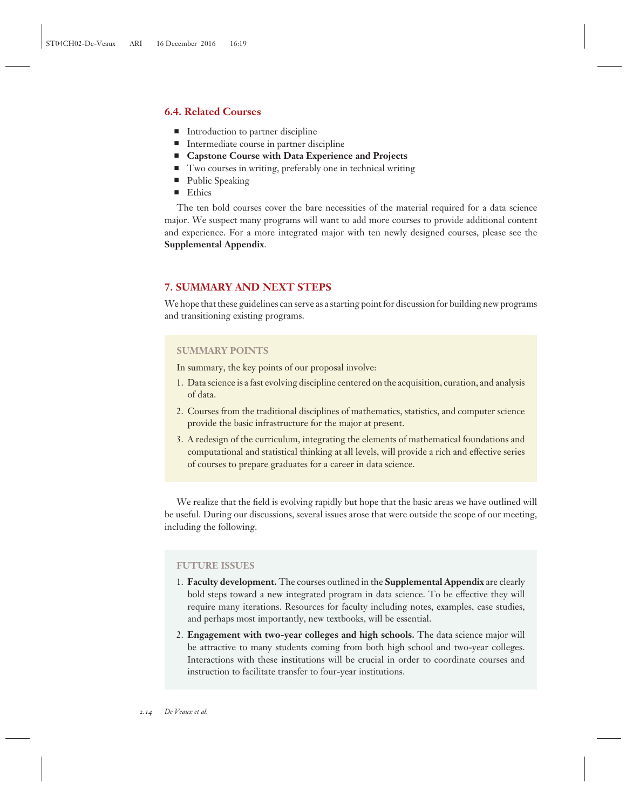## **6.4. Related Courses**

- Introduction to partner discipline
- Intermediate course in partner discipline
- Capstone Course with Data Experience and Projects
- Two courses in writing, preferably one in technical writing
- Public Speaking
- Ethics

The ten bold courses cover the bare necessities of the material required for a data science major. We suspect many programs will want to add more courses to provide additional content and experience. For a more integrated major with ten newly designed courses, please see the **Supplemental Appendix**.

## **7. SUMMARY AND NEXT STEPS**

We hope that these guidelines can serve as a starting point for discussion for building new programs and transitioning existing programs.

#### **SUMMARY POINTS**

In summary, the key points of our proposal involve:

- 1. Data science is a fast evolving discipline centered on the acquisition, curation, and analysis of data.
- 2. Courses from the traditional disciplines of mathematics, statistics, and computer science provide the basic infrastructure for the major at present.
- 3. A redesign of the curriculum, integrating the elements of mathematical foundations and computational and statistical thinking at all levels, will provide a rich and effective series of courses to prepare graduates for a career in data science.

We realize that the field is evolving rapidly but hope that the basic areas we have outlined will be useful. During our discussions, several issues arose that were outside the scope of our meeting, including the following.

#### **FUTURE ISSUES**

- 1. **Faculty development.** The courses outlined in the **Supplemental Appendix** are clearly bold steps toward a new integrated program in data science. To be effective they will require many iterations. Resources for faculty including notes, examples, case studies, and perhaps most importantly, new textbooks, will be essential.
- 2. **Engagement with two-year colleges and high schools.** The data science major will be attractive to many students coming from both high school and two-year colleges. Interactions with these institutions will be crucial in order to coordinate courses and instruction to facilitate transfer to four-year institutions.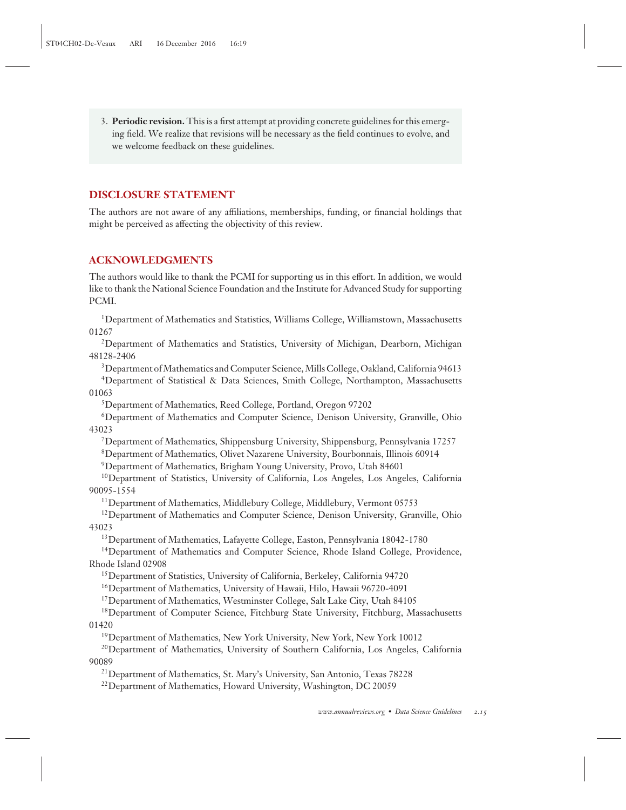3. **Periodic revision.** This is a first attempt at providing concrete guidelines for this emerging field. We realize that revisions will be necessary as the field continues to evolve, and we welcome feedback on these guidelines.

# **DISCLOSURE STATEMENT**

The authors are not aware of any affiliations, memberships, funding, or financial holdings that might be perceived as affecting the objectivity of this review.

# **ACKNOWLEDGMENTS**

The authors would like to thank the PCMI for supporting us in this effort. In addition, we would like to thank the National Science Foundation and the Institute for Advanced Study for supporting PCMI.

<sup>1</sup>Department of Mathematics and Statistics, Williams College, Williamstown, Massachusetts 01267

2Department of Mathematics and Statistics, University of Michigan, Dearborn, Michigan 48128-2406

<sup>3</sup>Department of Mathematics and Computer Science, Mills College, Oakland, California 94613 4Department of Statistical & Data Sciences, Smith College, Northampton, Massachusetts 01063

5Department of Mathematics, Reed College, Portland, Oregon 97202

6Department of Mathematics and Computer Science, Denison University, Granville, Ohio 43023

7Department of Mathematics, Shippensburg University, Shippensburg, Pennsylvania 17257

8Department of Mathematics, Olivet Nazarene University, Bourbonnais, Illinois 60914

9Department of Mathematics, Brigham Young University, Provo, Utah 84601

<sup>10</sup>Department of Statistics, University of California, Los Angeles, Los Angeles, California 90095-1554

<sup>11</sup>Department of Mathematics, Middlebury College, Middlebury, Vermont 05753

<sup>12</sup>Department of Mathematics and Computer Science, Denison University, Granville, Ohio 43023

13Department of Mathematics, Lafayette College, Easton, Pennsylvania 18042-1780

<sup>14</sup>Department of Mathematics and Computer Science, Rhode Island College, Providence, Rhode Island 02908

15Department of Statistics, University of California, Berkeley, California 94720

16Department of Mathematics, University of Hawaii, Hilo, Hawaii 96720-4091

<sup>17</sup>Department of Mathematics, Westminster College, Salt Lake City, Utah 84105

<sup>18</sup>Department of Computer Science, Fitchburg State University, Fitchburg, Massachusetts 01420

19Department of Mathematics, New York University, New York, New York 10012

20Department of Mathematics, University of Southern California, Los Angeles, California 90089

21Department of Mathematics, St. Mary's University, San Antonio, Texas 78228

<sup>22</sup> Department of Mathematics, Howard University, Washington, DC 20059